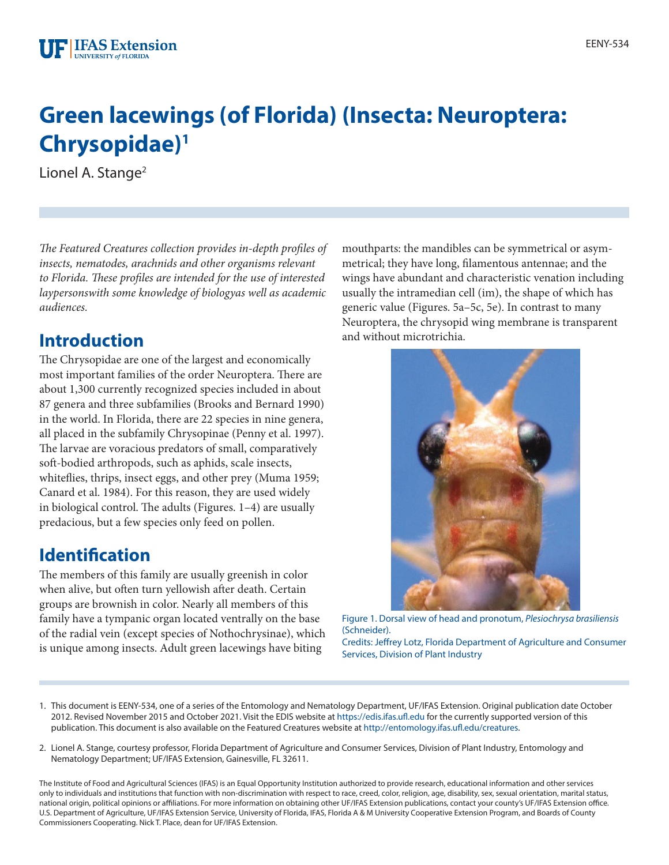# **Green lacewings (of Florida) (Insecta: Neuroptera: Chrysopidae)1**

Lionel A. Stange<sup>2</sup>

*The Featured Creatures collection provides in-depth profiles of insects, nematodes, arachnids and other organisms relevant to Florida. These profiles are intended for the use of interested laypersonswith some knowledge of biologyas well as academic audiences.*

### **Introduction**

The Chrysopidae are one of the largest and economically most important families of the order Neuroptera. There are about 1,300 currently recognized species included in about 87 genera and three subfamilies (Brooks and Bernard 1990) in the world. In Florida, there are 22 species in nine genera, all placed in the subfamily Chrysopinae (Penny et al. 1997). The larvae are voracious predators of small, comparatively soft-bodied arthropods, such as aphids, scale insects, whiteflies, thrips, insect eggs, and other prey (Muma 1959; Canard et al. 1984). For this reason, they are used widely in biological control. The adults (Figures. 1–4) are usually predacious, but a few species only feed on pollen.

# **Identification**

The members of this family are usually greenish in color when alive, but often turn yellowish after death. Certain groups are brownish in color. Nearly all members of this family have a tympanic organ located ventrally on the base of the radial vein (except species of Nothochrysinae), which is unique among insects. Adult green lacewings have biting

mouthparts: the mandibles can be symmetrical or asymmetrical; they have long, filamentous antennae; and the wings have abundant and characteristic venation including usually the intramedian cell (im), the shape of which has generic value (Figures. 5a–5c, 5e). In contrast to many Neuroptera, the chrysopid wing membrane is transparent and without microtrichia.



Figure 1. Dorsal view of head and pronotum, *Plesiochrysa brasiliensis* (Schneider).

Credits: Jeffrey Lotz, Florida Department of Agriculture and Consumer Services, Division of Plant Industry

- 1. This document is EENY-534, one of a series of the Entomology and Nematology Department, UF/IFAS Extension. Original publication date October 2012. Revised November 2015 and October 2021. Visit the EDIS website at <https://edis.ifas.ufl.edu>for the currently supported version of this publication. This document is also available on the Featured Creatures website at<http://entomology.ifas.ufl.edu/creatures>.
- 2. Lionel A. Stange, courtesy professor, Florida Department of Agriculture and Consumer Services, Division of Plant Industry, Entomology and Nematology Department; UF/IFAS Extension, Gainesville, FL 32611.

The Institute of Food and Agricultural Sciences (IFAS) is an Equal Opportunity Institution authorized to provide research, educational information and other services only to individuals and institutions that function with non-discrimination with respect to race, creed, color, religion, age, disability, sex, sexual orientation, marital status, national origin, political opinions or affiliations. For more information on obtaining other UF/IFAS Extension publications, contact your county's UF/IFAS Extension office. U.S. Department of Agriculture, UF/IFAS Extension Service, University of Florida, IFAS, Florida A & M University Cooperative Extension Program, and Boards of County Commissioners Cooperating. Nick T. Place, dean for UF/IFAS Extension.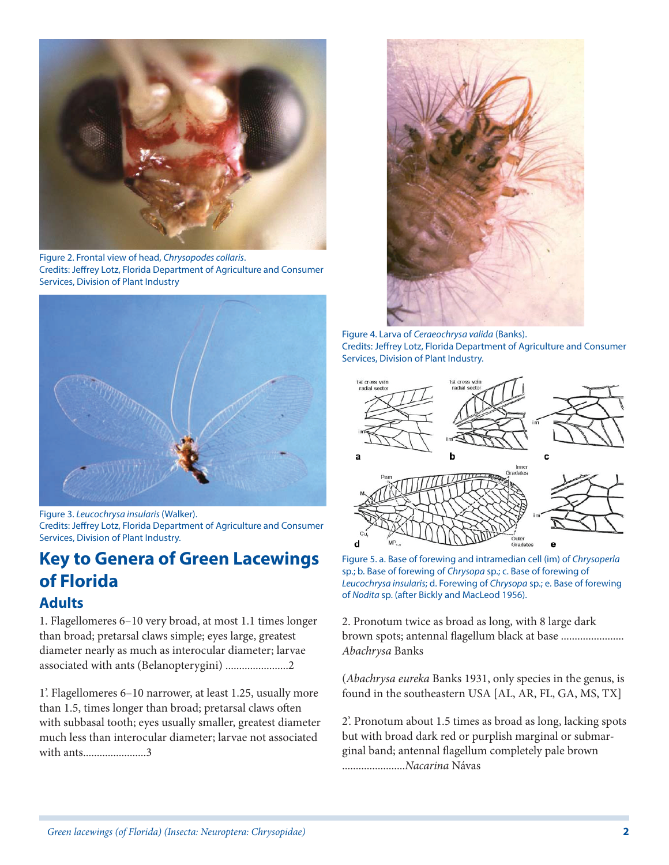

Figure 2. Frontal view of head, *Chrysopodes collaris*. Credits: Jeffrey Lotz, Florida Department of Agriculture and Consumer Services, Division of Plant Industry



Figure 3. *Leucochrysa insularis* (Walker). Credits: Jeffrey Lotz, Florida Department of Agriculture and Consumer Services, Division of Plant Industry.

#### **Key to Genera of Green Lacewings of Florida Adults**

1. Flagellomeres 6–10 very broad, at most 1.1 times longer than broad; pretarsal claws simple; eyes large, greatest diameter nearly as much as interocular diameter; larvae associated with ants (Belanopterygini) .......................2

1'. Flagellomeres 6–10 narrower, at least 1.25, usually more than 1.5, times longer than broad; pretarsal claws often with subbasal tooth; eyes usually smaller, greatest diameter much less than interocular diameter; larvae not associated with ants.......................3



Figure 4. Larva of *Ceraeochrysa valida* (Banks). Credits: Jeffrey Lotz, Florida Department of Agriculture and Consumer Services, Division of Plant Industry.



Figure 5. a. Base of forewing and intramedian cell (im) of *Chrysoperla* sp.; b. Base of forewing of *Chrysopa* sp.; c. Base of forewing of *Leucochrysa insularis*; d. Forewing of *Chrysopa* sp.; e. Base of forewing of *Nodita* sp. (after Bickly and MacLeod 1956).

2. Pronotum twice as broad as long, with 8 large dark brown spots; antennal flagellum black at base ....................... *Abachrysa* Banks

(*Abachrysa eureka* Banks 1931, only species in the genus, is found in the southeastern USA [AL, AR, FL, GA, MS, TX]

2'. Pronotum about 1.5 times as broad as long, lacking spots but with broad dark red or purplish marginal or submarginal band; antennal flagellum completely pale brown .......................*Nacarina* Návas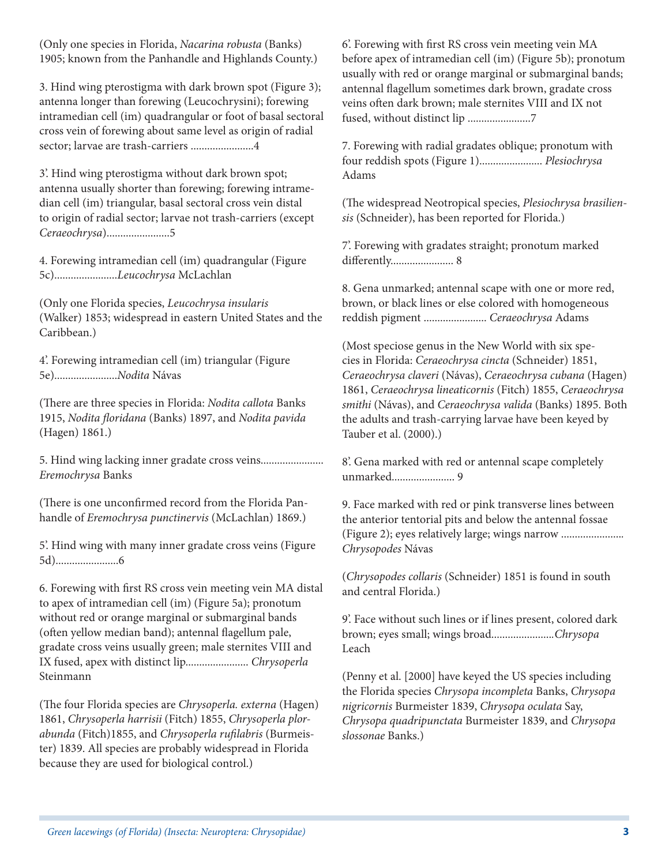(Only one species in Florida, *Nacarina robusta* (Banks) 1905; known from the Panhandle and Highlands County.)

3. Hind wing pterostigma with dark brown spot (Figure 3); antenna longer than forewing (Leucochrysini); forewing intramedian cell (im) quadrangular or foot of basal sectoral cross vein of forewing about same level as origin of radial sector; larvae are trash-carriers .......................4

3'. Hind wing pterostigma without dark brown spot; antenna usually shorter than forewing; forewing intramedian cell (im) triangular, basal sectoral cross vein distal to origin of radial sector; larvae not trash-carriers (except *Ceraeochrysa*).......................5

4. Forewing intramedian cell (im) quadrangular (Figure 5c).......................*Leucochrysa* McLachlan

(Only one Florida species, *Leucochrysa insularis* (Walker) 1853; widespread in eastern United States and the Caribbean.)

4'. Forewing intramedian cell (im) triangular (Figure 5e).......................*Nodita* Návas

(There are three species in Florida: *Nodita callota* Banks 1915, *Nodita floridana* (Banks) 1897, and *Nodita pavida* (Hagen) 1861.)

5. Hind wing lacking inner gradate cross veins....................... *Eremochrysa* Banks

(There is one unconfirmed record from the Florida Panhandle of *Eremochrysa punctinervis* (McLachlan) 1869.)

5'. Hind wing with many inner gradate cross veins (Figure 5d).......................6

6. Forewing with first RS cross vein meeting vein MA distal to apex of intramedian cell (im) (Figure 5a); pronotum without red or orange marginal or submarginal bands (often yellow median band); antennal flagellum pale, gradate cross veins usually green; male sternites VIII and IX fused, apex with distinct lip....................... *Chrysoperla* Steinmann

(The four Florida species are *Chrysoperla. externa* (Hagen) 1861, *Chrysoperla harrisii* (Fitch) 1855, *Chrysoperla plorabunda* (Fitch)1855, and *Chrysoperla rufilabris* (Burmeister) 1839. All species are probably widespread in Florida because they are used for biological control.)

6'. Forewing with first RS cross vein meeting vein MA before apex of intramedian cell (im) (Figure 5b); pronotum usually with red or orange marginal or submarginal bands; antennal flagellum sometimes dark brown, gradate cross veins often dark brown; male sternites VIII and IX not fused, without distinct lip .......................7

7. Forewing with radial gradates oblique; pronotum with four reddish spots (Figure 1)....................... *Plesiochrysa* Adams

(The widespread Neotropical species, *Plesiochrysa brasiliensis* (Schneider), has been reported for Florida.)

7'. Forewing with gradates straight; pronotum marked differently....................... 8

8. Gena unmarked; antennal scape with one or more red, brown, or black lines or else colored with homogeneous reddish pigment ....................... *Ceraeochrysa* Adams

(Most speciose genus in the New World with six species in Florida: *Ceraeochrysa cincta* (Schneider) 1851, *Ceraeochrysa claveri* (Návas), *Ceraeochrysa cubana* (Hagen) 1861, *Ceraeochrysa lineaticornis* (Fitch) 1855, *Ceraeochrysa smithi* (Návas), and *Ceraeochrysa valida* (Banks) 1895. Both the adults and trash-carrying larvae have been keyed by Tauber et al. (2000).)

8'. Gena marked with red or antennal scape completely unmarked....................... 9

9. Face marked with red or pink transverse lines between the anterior tentorial pits and below the antennal fossae (Figure 2); eyes relatively large; wings narrow ......................*. Chrysopodes* Návas

(*Chrysopodes collaris* (Schneider) 1851 is found in south and central Florida.)

9'. Face without such lines or if lines present, colored dark brown; eyes small; wings broad......................*.Chrysopa* Leach

(Penny et al. [2000] have keyed the US species including the Florida species *Chrysopa incompleta* Banks, *Chrysopa nigricornis* Burmeister 1839, *Chrysopa oculata* Say, *Chrysopa quadripunctata* Burmeister 1839, and *Chrysopa slossonae* Banks.)